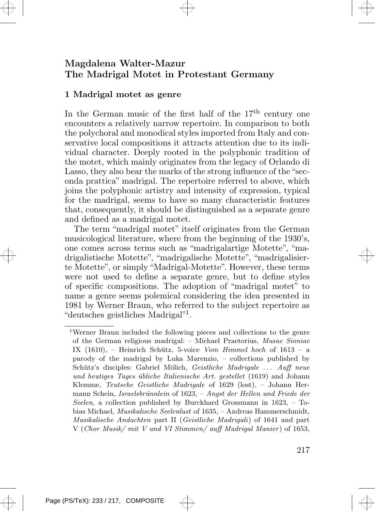# Magdalena Walter-Mazur The Madrigal Motet in Protestant Germany

### 1 Madrigal motet as genre

In the German music of the first half of the  $17<sup>th</sup>$  century one encounters a relatively narrow repertoire. In comparison to both the polychoral and monodical styles imported from Italy and conservative local compositions it attracts attention due to its individual character. Deeply rooted in the polyphonic tradition of the motet, which mainly originates from the legacy of Orlando di Lasso, they also bear the marks of the strong influence of the"seconda prattica" madrigal. The repertoire referred to above, which joins the polyphonic artistry and intensity of expression, typical for the madrigal, seems to have so many characteristic features that, consequently, it should be distinguished as a separate genre and defined as a madrigal motet.

The term "madrigal motet" itself originates from the German musicological literature, where from the beginning of the 1930's, one comes across terms such as "madrigalartige Motette", "madrigalistische Motette", "madrigalische Motette", "madrigalisierte Motette", or simply "Madrigal-Motette". However, these terms were not used to define a separate genre, but to define styles of specific compositions. The adoption of "madrigal motet" to name a genre seems polemical considering the idea presented in 1981 by Werner Braun, who referred to the subject repertoire as "deutsches geistliches Madrigal"<sup>1</sup> .

<sup>1</sup>Werner Braun included the following pieces and collections to the genre of the German religious madrigal: – Michael Praetorius, Musae Sioniae IX (1610), – Heinrich Schütz, 5-voice Vom Himmel hoch of  $1613 - a$ parody of the madrigal by Luka Marenzio, – collections published by Schütz's disciples: Gabriel Mölich, Geistliche Madrigale ... Auff neue und heutiges Tages übliche Italienische Art. gestellet  $(1619)$  and Johann Klemme, Teutsche Geistliche Madrigale of 1629 (lost), – Johann Hermann Schein, Israelsbrünnlein of  $1623$ , – Angst der Hellen und Friede der Seelen, a collection published by Burckhard Grossmann in 1623, – Tobias Michael, Musikalische Seelenlust of 1635, – Andreas Hammerschmidt, Musikalische Andachten part II (Geistliche Madrigali) of 1641 and part V (Chor Musik/ mit V und VI Stimmen/ auff Madrigal Manier) of 1653,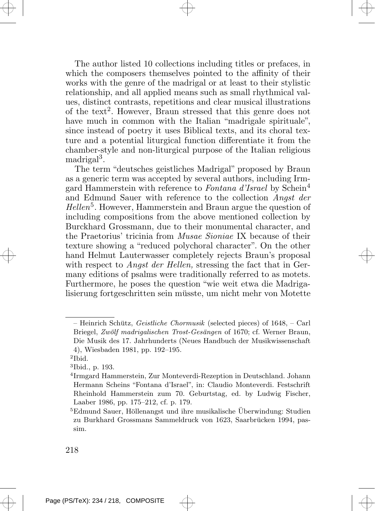The author listed 10 collections including titles or prefaces, in which the composers themselves pointed to the affinity of their works with the genre of the madrigal or at least to their stylistic relationship, and all applied means such as small rhythmical values, distinct contrasts, repetitions and clear musical illustrations of the text<sup>2</sup>. However, Braun stressed that this genre does not have much in common with the Italian "madrigale spirituale", since instead of poetry it uses Biblical texts, and its choral texture and a potential liturgical function differentiate it from the chamber-style and non-liturgical purpose of the Italian religious madrigal<sup>3</sup>.

The term "deutsches geistliches Madrigal" proposed by Braun as a generic term was accepted by several authors, including Irmgard Hammerstein with reference to Fontana d'Israel by Schein<sup>4</sup> and Edmund Sauer with reference to the collection Angst der Hellen 5 . However, Hammerstein and Braun argue the question of including compositions from the above mentioned collection by Burckhard Grossmann, due to their monumental character, and the Praetorius' tricinia from Musae Sioniae IX because of their texture showing a "reduced polychoral character". On the other hand Helmut Lauterwasser completely rejects Braun's proposal with respect to *Angst der Hellen*, stressing the fact that in Germany editions of psalms were traditionally referred to as motets. Furthermore, he poses the question "wie weit etwa die Madrigalisierung fortgeschritten sein müsste, um nicht mehr von Motette

<sup>–</sup> Heinrich Schütz, *Geistliche Chormusik* (selected pieces) of  $1648$ , – Carl Briegel, Zwölf madrigalischen Trost-Gesängen of 1670; cf. Werner Braun, Die Musik des 17. Jahrhunderts (Neues Handbuch der Musikwissenschaft 4), Wiesbaden 1981, pp. 192–195.

<sup>2</sup> Ibid.

<sup>3</sup> Ibid., p. 193.

<sup>4</sup> Irmgard Hammerstein, Zur Monteverdi-Rezeption in Deutschland. Johann Hermann Scheins "Fontana d'Israel", in: Claudio Monteverdi. Festschrift Rheinhold Hammerstein zum 70. Geburtstag, ed. by Ludwig Fischer, Laaber 1986, pp. 175–212, cf. p. 179.

 $5$ Edmund Sauer, Höllenangst und ihre musikalische Überwindung: Studien zu Burkhard Grossmans Sammeldruck von 1623, Saarbrücken 1994, passim.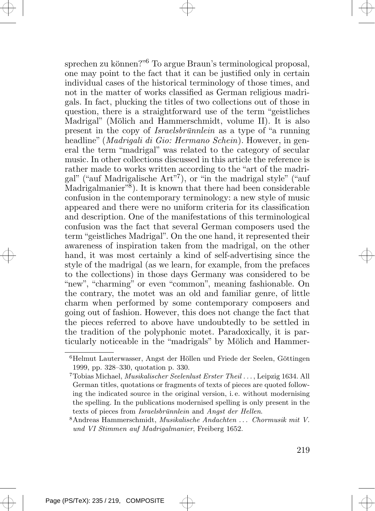sprechen zu können?"<sup>6</sup> To argue Braun's terminological proposal, one may point to the fact that it can be justified only in certain individual cases of the historical terminology of those times, and not in the matter of works classified as German religious madrigals. In fact, plucking the titles of two collections out of those in question, there is a straightforward use of the term "geistliches Madrigal" (Mölich and Hammerschmidt, volume II). It is also present in the copy of *Israelsbrünnlein* as a type of "a running" headline" (*Madrigali di Gio: Hermano Schein*). However, in general the term "madrigal" was related to the category of secular music. In other collections discussed in this article the reference is rather made to works written according to the "art of the madrigal" ("auf Madrigalische Art"<sup>7</sup> ), or "in the madrigal style" ("auf Madrigalmanier"<sup>8</sup> ). It is known that there had been considerable confusion in the contemporary terminology: a new style of music appeared and there were no uniform criteria for its classification and description. One of the manifestations of this terminological confusion was the fact that several German composers used the term"geistliches Madrigal". On the one hand, it represented their awareness of inspiration taken from the madrigal, on the other hand, it was most certainly a kind of self-advertising since the style of the madrigal (as we learn, for example, from the prefaces to the collections) in those days Germany was considered to be "new", "charming" or even "common", meaning fashionable. On the contrary, the motet was an old and familiar genre, of little charm when performed by some contemporary composers and going out of fashion. However, this does not change the fact that the pieces referred to above have undoubtedly to be settled in the tradition of the polyphonic motet. Paradoxically, it is particularly noticeable in the "madrigals" by Mölich and Hammer-

<sup>&</sup>lt;sup>6</sup>Helmut Lauterwasser, Angst der Höllen und Friede der Seelen, Göttingen 1999, pp. 328–330, quotation p. 330.

<sup>7</sup>Tobias Michael, Musikalischer Seelenlust Erster Theil ..., Leipzig 1634. All German titles, quotations or fragments of texts of pieces are quoted following the indicated source in the original version, i. e. without modernising the spelling. In the publications modernised spelling is only present in the texts of pieces from Israelsbrünnlein and Angst der Hellen.

<sup>8</sup>Andreas Hammerschmidt, Musikalische Andachten ... Chormusik mit V. und VI Stimmen auf Madrigalmanier, Freiberg 1652.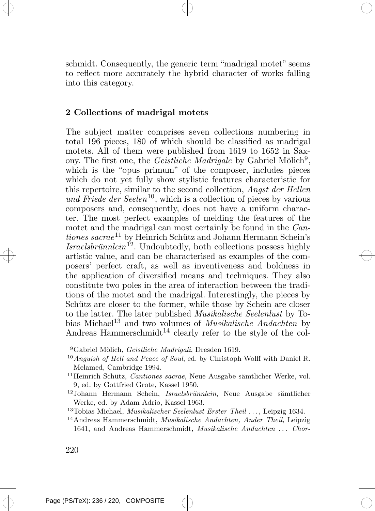



schmidt. Consequently, the generic term "madrigal motet" seems to reflect more accurately the hybrid character of works falling into this category.

# 2 Collections of madrigal motets

The subject matter comprises seven collections numbering in total 196 pieces, 180 of which should be classified as madrigal motets. All of them were published from 1619 to 1652 in Saxony. The first one, the *Geistliche Madrigale* by Gabriel Mölich<sup>9</sup>, which is the "opus primum" of the composer, includes pieces which do not yet fully show stylistic features characteristic for this repertoire, similar to the second collection, Angst der Hellen und Friede der Seelen<sup>10</sup>, which is a collection of pieces by various composers and, consequently, does not have a uniform character. The most perfect examples of melding the features of the motet and the madrigal can most certainly be found in the Can $tiones sacrae^{11}$  by Heinrich Schütz and Johann Hermann Schein's Israelsbrünnlein<sup>12</sup>. Undoubtedly, both collections possess highly artistic value, and can be characterised as examples of the composers' perfect craft, as well as inventiveness and boldness in the application of diversified means and techniques. They also constitute two poles in the area of interaction between the traditions of the motet and the madrigal. Interestingly, the pieces by Schütz are closer to the former, while those by Schein are closer to the latter. The later published Musikalische Seelenlust by Tobias Michael<sup>13</sup> and two volumes of *Musikalische Andachten* by Andreas Hammerschmidt<sup>14</sup> clearly refer to the style of the col-



<sup>&</sup>lt;sup>9</sup>Gabriel Mölich, Geistliche Madrigali, Dresden 1619.

 $10$  Anguish of Hell and Peace of Soul, ed. by Christoph Wolff with Daniel R. Melamed, Cambridge 1994.

 $11$ Heinrich Schütz, *Cantiones sacrae*, Neue Ausgabe sämtlicher Werke, vol. 9, ed. by Gottfried Grote, Kassel 1950.

 $12$ Johann Hermann Schein, *Israelsbrünnlein*, Neue Ausgabe sämtlicher Werke, ed. by Adam Adrio, Kassel 1963.

<sup>&</sup>lt;sup>13</sup>Tobias Michael, *Musikalischer Seelenlust Erster Theil* ..., Leipzig 1634.

<sup>14</sup>Andreas Hammerschmidt, Musikalische Andachten, Ander Theil, Leipzig 1641, and Andreas Hammerschmidt, Musikalische Andachten ... Chor-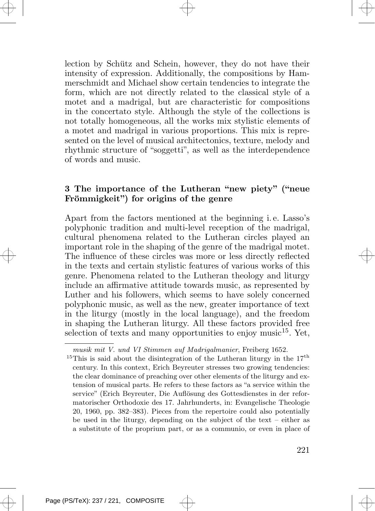lection by Schütz and Schein, however, they do not have their intensity of expression. Additionally, the compositions by Hammerschmidt and Michael show certain tendencies to integrate the form, which are not directly related to the classical style of a motet and a madrigal, but are characteristic for compositions in the concertato style. Although the style of the collections is not totally homogeneous, all the works mix stylistic elements of a motet and madrigal in various proportions. This mix is represented on the level of musical architectonics, texture, melody and rhythmic structure of "soggetti", as well as the interdependence of words and music.

# 3 The importance of the Lutheran "new piety" ("neue Frömmigkeit") for origins of the genre

Apart from the factors mentioned at the beginning i. e. Lasso's polyphonic tradition and multi-level reception of the madrigal, cultural phenomena related to the Lutheran circles played an important role in the shaping of the genre of the madrigal motet. The influence of these circles was more or less directly reflected in the texts and certain stylistic features of various works of this genre. Phenomena related to the Lutheran theology and liturgy include an affirmative attitude towards music, as represented by Luther and his followers, which seems to have solely concerned polyphonic music, as well as the new, greater importance of text in the liturgy (mostly in the local language), and the freedom in shaping the Lutheran liturgy. All these factors provided free selection of texts and many opportunities to enjoy music<sup>15</sup>. Yet,

musik mit V. und VI Stimmen auf Madrigalmanier, Freiberg 1652.

<sup>&</sup>lt;sup>15</sup>This is said about the disintegration of the Lutheran liturgy in the  $17<sup>th</sup>$ century. In this context, Erich Beyreuter stresses two growing tendencies: the clear dominance of preaching over other elements of the liturgy and extension of musical parts. He refers to these factors as "a service within the service" (Erich Beyreuter, Die Auflösung des Gottesdienstes in der reformatorischer Orthodoxie des 17. Jahrhunderts, in: Evangelische Theologie 20, 1960, pp. 382–383). Pieces from the repertoire could also potentially be used in the liturgy, depending on the subject of the text – either as a substitute of the proprium part, or as a communio, or even in place of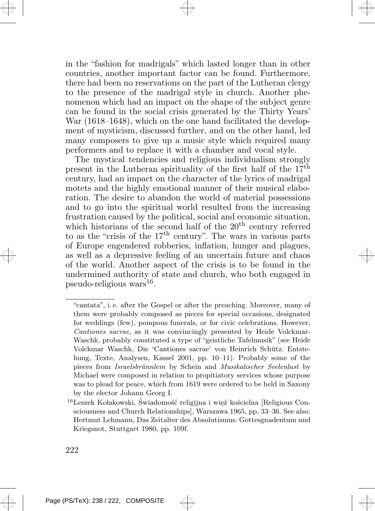in the "fashion for madrigals" which lasted longer than in other countries, another important factor can be found. Furthermore, there had been no reservations on the part of the Lutheran clergy to the presence of the madrigal style in church. Another phenomenon which had an impact on the shape of the subject genre can be found in the social crisis generated by the Thirty Years' War (1618–1648), which on the one hand facilitated the development of mysticism, discussed further, and on the other hand, led many composers to give up a music style which required many performers and to replace it with a chamber and vocal style.

The mystical tendencies and religious individualism strongly present in the Lutheran spirituality of the first half of the 17th century, had an impact on the character of the lyrics of madrigal motets and the highly emotional manner of their musical elaboration. The desire to abandon the world of material possessions and to go into the spiritual world resulted from the increasing frustration caused by the political, social and economic situation, which historians of the second half of the  $20<sup>th</sup>$  century referred to as the "crisis of the  $17<sup>th</sup>$  century". The wars in various parts of Europe engendered robberies, inflation, hunger and plagues, as well as a depressive feeling of an uncertain future and chaos of the world. Another aspect of the crisis is to be found in the undermined authority of state and church, who both engaged in pseudo-religious wars<sup>16</sup>.

<sup>&</sup>quot;cantata", i. e. after the Gospel or after the preaching. Moreover, many of them were probably composed as pieces for special occasions, designated for weddings (few), pompous funerals, or for civic celebrations. However, Cantiones sacrae, as it was convincingly presented by Heide Volckmar-Waschk, probably constituted a type of "geistliche Tafelmusik" (see Heide Volckmar Waschk, Die 'Cantiones sacrae' von Heinrich Schütz. Entstehung, Texte, Analysen, Kassel 2001, pp. 10–11). Probably some of the pieces from Israelsbrünnlein by Schein and Musikalischer Seelenlust by Michael were composed in relation to propitiatory services whose purpose was to plead for peace, which from 1619 were ordered to be held in Saxony by the elector Johann Georg I.

 $^{16}{\rm Leszek}$ Kołakowski, Świadomość religijna i więź kościelna [Religious Consciousness and Church Relationships], Warszawa 1965, pp. 33–36. See also: Hertmut Lehmann, Das Zeitalter des Absolutismus: Gottesgnadentum und Kriegsnot, Stuttgart 1980, pp. 109f.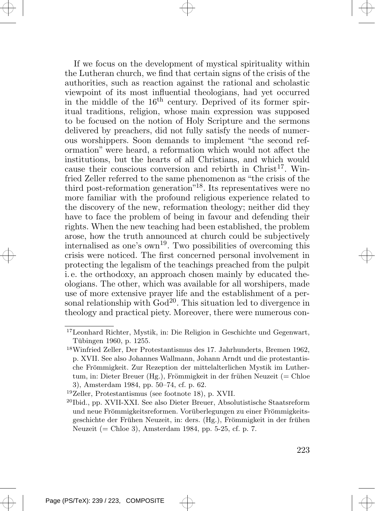If we focus on the development of mystical spirituality within the Lutheran church, we find that certain signs of the crisis of the authorities, such as reaction against the rational and scholastic viewpoint of its most influential theologians, had yet occurred in the middle of the  $16<sup>th</sup>$  century. Deprived of its former spiritual traditions, religion, whose main expression was supposed to be focused on the notion of Holy Scripture and the sermons delivered by preachers, did not fully satisfy the needs of numerous worshippers. Soon demands to implement "the second reformation" were heard, a reformation which would not affect the institutions, but the hearts of all Christians, and which would cause their conscious conversion and rebirth in Christ<sup>17</sup>. Winfried Zeller referred to the same phenomenon as "the crisis of the third post-reformation generation"<sup>18</sup> . Its representatives were no more familiar with the profound religious experience related to the discovery of the new, reformation theology; neither did they have to face the problem of being in favour and defending their rights. When the new teaching had been established, the problem arose, how the truth announced at church could be subjectively internalised as one's own<sup>19</sup>. Two possibilities of overcoming this crisis were noticed. The first concerned personal involvement in protecting the legalism of the teachings preached from the pulpit i. e. the orthodoxy, an approach chosen mainly by educated theologians. The other, which was available for all worshipers, made use of more extensive prayer life and the establishment of a personal relationship with  $God^{20}$ . This situation led to divergence in theology and practical piety. Moreover, there were numerous con-

<sup>17</sup>Leonhard Richter, Mystik, in: Die Religion in Geschichte und Gegenwart, Tübingen 1960, p. 1255.

<sup>18</sup>Winfried Zeller, Der Protestantismus des 17. Jahrhunderts, Bremen 1962, p. XVII. See also Johannes Wallmann, Johann Arndt und die protestantische Frömmigkeit. Zur Rezeption der mittelalterlichen Mystik im Luthertum, in: Dieter Breuer (Hg.), Frömmigkeit in der frühen Neuzeit (= Chloe 3), Amsterdam 1984, pp. 50–74, cf. p. 62.

<sup>19</sup>Zeller, Protestantismus (see footnote 18), p. XVII.

<sup>20</sup>Ibid., pp. XVII-XXI. See also Dieter Breuer, Absolutistische Staatsreform und neue Frömmigkeitsreformen. Vorüberlegungen zu einer Frömmigkeitsgeschichte der Frühen Neuzeit, in: ders. (Hg.), Frömmigkeit in der frühen Neuzeit (= Chloe 3), Amsterdam 1984, pp. 5-25, cf. p. 7.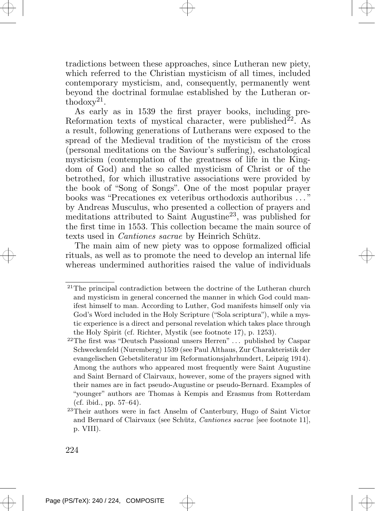tradictions between these approaches, since Lutheran new piety, which referred to the Christian mysticism of all times, included contemporary mysticism, and, consequently, permanently went beyond the doctrinal formulae established by the Lutheran or- $\text{thodoxy}^{21}$ .

As early as in 1539 the first prayer books, including pre-Reformation texts of mystical character, were published<sup>22</sup>. As a result, following generations of Lutherans were exposed to the spread of the Medieval tradition of the mysticism of the cross (personal meditations on the Saviour's suffering), eschatological mysticism (contemplation of the greatness of life in the Kingdom of God) and the so called mysticism of Christ or of the betrothed, for which illustrative associations were provided by the book of "Song of Songs". One of the most popular prayer books was "Precationes ex veteribus orthodoxis authoribus . . . " by Andreas Musculus, who presented a collection of prayers and meditations attributed to Saint Augustine<sup>23</sup>, was published for the first time in 1553. This collection became the main source of texts used in *Cantiones sacrae* by Heinrich Schütz.

The main aim of new piety was to oppose formalized official rituals, as well as to promote the need to develop an internal life whereas undermined authorities raised the value of individuals

<sup>21</sup>The principal contradiction between the doctrine of the Lutheran church and mysticism in general concerned the manner in which God could manifest himself to man. According to Luther, God manifests himself only via God's Word included in the Holy Scripture ("Sola scriptura"), while a mystic experience is a direct and personal revelation which takes place through the Holy Spirit (cf. Richter, Mystik (see footnote 17), p. 1253).

<sup>&</sup>lt;sup>22</sup>The first was "Deutsch Passional unsers Herren" ... published by Caspar Schweckenfeld (Nuremberg) 1539 (see Paul Althaus, Zur Charakteristik der evangelischen Gebetsliteratur im Reformationsjahrhundert, Leipzig 1914). Among the authors who appeared most frequently were Saint Augustine and Saint Bernard of Clairvaux, however, some of the prayers signed with their names are in fact pseudo-Augustine or pseudo-Bernard. Examples of "younger" authors are Thomas a` Kempis and Erasmus from Rotterdam (cf. ibid., pp. 57–64).

<sup>&</sup>lt;sup>23</sup>Their authors were in fact Anselm of Canterbury, Hugo of Saint Victor and Bernard of Clairvaux (see Schütz, *Cantiones sacrae* [see footnote 11], p. VIII).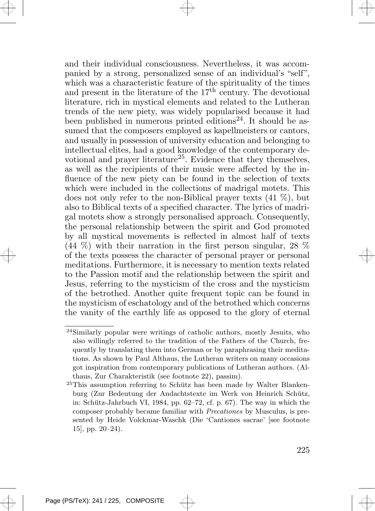and their individual consciousness. Nevertheless, it was accompanied by a strong, personalized sense of an individual's "self", which was a characteristic feature of the spirituality of the times and present in the literature of the 17<sup>th</sup> century. The devotional literature, rich in mystical elements and related to the Lutheran trends of the new piety, was widely popularised because it had been published in numerous printed editions<sup>24</sup>. It should be assumed that the composers employed as kapellmeisters or cantors, and usually in possession of university education and belonging to intellectual elites, had a good knowledge of the contemporary devotional and prayer literature<sup>25</sup>. Evidence that they themselves, as well as the recipients of their music were affected by the influence of the new piety can be found in the selection of texts which were included in the collections of madrigal motets. This does not only refer to the non-Biblical prayer texts (41 %), but also to Biblical texts of a specified character. The lyrics of madrigal motets show a strongly personalised approach. Consequently, the personal relationship between the spirit and God promoted by all mystical movements is reflected in almost half of texts  $(44 \%)$  with their narration in the first person singular, 28  $\%$ of the texts possess the character of personal prayer or personal meditations. Furthermore, it is necessary to mention texts related to the Passion motif and the relationship between the spirit and Jesus, referring to the mysticism of the cross and the mysticism of the betrothed. Another quite frequent topic can be found in the mysticism of eschatology and of the betrothed which concerns the vanity of the earthly life as opposed to the glory of eternal

<sup>24</sup>Similarly popular were writings of catholic authors, mostly Jesuits, who also willingly referred to the tradition of the Fathers of the Church, frequently by translating them into German or by paraphrasing their meditations. As shown by Paul Althaus, the Lutheran writers on many occasions got inspiration from contemporary publications of Lutheran authors. (Althaus, Zur Charakteristik (see footnote 22), passim).

 $^{25}$ This assumption referring to Schütz has been made by Walter Blankenburg (Zur Bedeutung der Andachtstexte im Werk von Heinrich Schutz, ¨ in: Schütz-Jahrbuch VI, 1984, pp.  $62-72$ , cf. p.  $67$ ). The way in which the composer probably became familiar with Precationes by Musculus, is presented by Heide Volckmar-Waschk (Die 'Cantiones sacrae' [see footnote 15], pp. 20–24).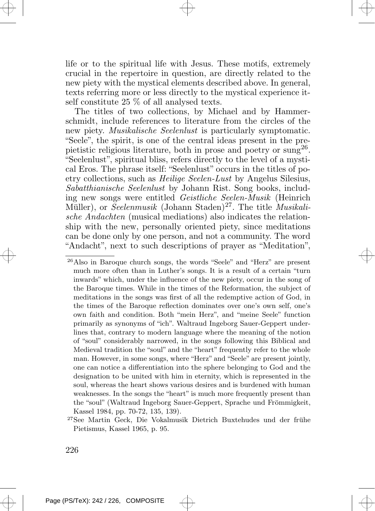life or to the spiritual life with Jesus. These motifs, extremely crucial in the repertoire in question, are directly related to the new piety with the mystical elements described above. In general, texts referring more or less directly to the mystical experience itself constitute 25 % of all analysed texts.

The titles of two collections, by Michael and by Hammerschmidt, include references to literature from the circles of the new piety. Musikalische Seelenlust is particularly symptomatic. "Seele", the spirit, is one of the central ideas present in the prepietistic religious literature, both in prose and poetry or sung<sup>26</sup> . "Seelenlust", spiritual bliss, refers directly to the level of a mystical Eros. The phrase itself: "Seelenlust" occurs in the titles of poetry collections, such as Heilige Seelen-Lust by Angelus Silesius, Sabatthianische Seelenlust by Johann Rist. Song books, including new songs were entitled Geistliche Seelen-Musik (Heinrich Müller), or Seelenmusik (Johann Staden)<sup>27</sup>. The title *Musikali*sche Andachten (musical mediations) also indicates the relationship with the new, personally oriented piety, since meditations can be done only by one person, and not a community. The word "Andacht", next to such descriptions of prayer as "Meditation",

<sup>26</sup>Also in Baroque church songs, the words "Seele" and "Herz" are present much more often than in Luther's songs. It is a result of a certain "turn inwards" which, under the influence of the new piety, occur in the song of the Baroque times. While in the times of the Reformation, the subject of meditations in the songs was first of all the redemptive action of God, in the times of the Baroque reflection dominates over one's own self, one's own faith and condition. Both "mein Herz", and "meine Seele" function primarily as synonyms of "ich". Waltraud Ingeborg Sauer-Geppert underlines that, contrary to modern language where the meaning of the notion of "soul" considerably narrowed, in the songs following this Biblical and Medieval tradition the "soul" and the "heart" frequently refer to the whole man. However, in some songs, where "Herz" and "Seele" are present jointly, one can notice a differentiation into the sphere belonging to God and the designation to be united with him in eternity, which is represented in the soul, whereas the heart shows various desires and is burdened with human weaknesses. In the songs the "heart" is much more frequently present than the "soul" (Waltraud Ingeborg Sauer-Geppert, Sprache und Frömmigkeit, Kassel 1984, pp. 70-72, 135, 139).

 $27$ See Martin Geck, Die Vokalmusik Dietrich Buxtehudes und der frühe Pietismus, Kassel 1965, p. 95.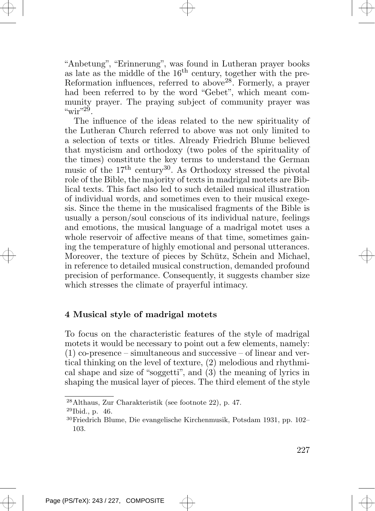"Anbetung", "Erinnerung", was found in Lutheran prayer books as late as the middle of the 16th century, together with the pre-Reformation influences, referred to above<sup>28</sup>. Formerly, a prayer had been referred to by the word "Gebet", which meant community prayer. The praying subject of community prayer was "wir" $^{29}$ .

The influence of the ideas related to the new spirituality of the Lutheran Church referred to above was not only limited to a selection of texts or titles. Already Friedrich Blume believed that mysticism and orthodoxy (two poles of the spirituality of the times) constitute the key terms to understand the German music of the  $17<sup>th</sup>$  century<sup>30</sup>. As Orthodoxy stressed the pivotal role of the Bible, the majority of texts in madrigal motets are Biblical texts. This fact also led to such detailed musical illustration of individual words, and sometimes even to their musical exegesis. Since the theme in the musicalised fragments of the Bible is usually a person/soul conscious of its individual nature, feelings and emotions, the musical language of a madrigal motet uses a whole reservoir of affective means of that time, sometimes gaining the temperature of highly emotional and personal utterances. Moreover, the texture of pieces by Schütz, Schein and Michael, in reference to detailed musical construction, demanded profound precision of performance. Consequently, it suggests chamber size which stresses the climate of prayerful intimacy.

### 4 Musical style of madrigal motets

To focus on the characteristic features of the style of madrigal motets it would be necessary to point out a few elements, namely:  $(1)$  co-presence – simultaneous and successive – of linear and vertical thinking on the level of texture, (2) melodious and rhythmical shape and size of "soggetti", and (3) the meaning of lyrics in shaping the musical layer of pieces. The third element of the style



<sup>28</sup>Althaus, Zur Charakteristik (see footnote 22), p. 47.

<sup>29</sup>Ibid., p. 46.

<sup>30</sup>Friedrich Blume, Die evangelische Kirchenmusik, Potsdam 1931, pp. 102– 103.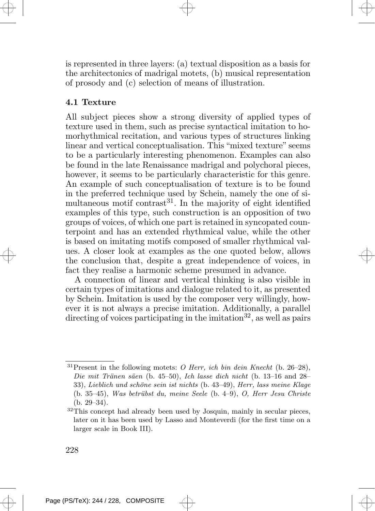is represented in three layers: (a) textual disposition as a basis for the architectonics of madrigal motets, (b) musical representation of prosody and (c) selection of means of illustration.

### 4.1 Texture

All subject pieces show a strong diversity of applied types of texture used in them, such as precise syntactical imitation to homorhythmical recitation, and various types of structures linking linear and vertical conceptualisation. This "mixed texture" seems to be a particularly interesting phenomenon. Examples can also be found in the late Renaissance madrigal and polychoral pieces, however, it seems to be particularly characteristic for this genre. An example of such conceptualisation of texture is to be found in the preferred technique used by Schein, namely the one of simultaneous motif contrast<sup>31</sup>. In the majority of eight identified examples of this type, such construction is an opposition of two groups of voices, of which one part is retained in syncopated counterpoint and has an extended rhythmical value, while the other is based on imitating motifs composed of smaller rhythmical values. A closer look at examples as the one quoted below, allows the conclusion that, despite a great independence of voices, in fact they realise a harmonic scheme presumed in advance.

A connection of linear and vertical thinking is also visible in certain types of imitations and dialogue related to it, as presented by Schein. Imitation is used by the composer very willingly, however it is not always a precise imitation. Additionally, a parallel directing of voices participating in the imitation  $3^2$ , as well as pairs

<sup>&</sup>lt;sup>31</sup>Present in the following motets: O Herr, ich bin dein Knecht (b. 26–28), Die mit Tränen säen (b. 45–50), Ich lasse dich nicht (b. 13–16 and 28– 33), Lieblich und schöne sein ist nichts (b. 43–49), Herr, lass meine Klage  $(b. 35-45)$ , Was betrübst du, meine Seele  $(b. 4-9)$ , O, Herr Jesu Christe (b. 29–34).

<sup>&</sup>lt;sup>32</sup>This concept had already been used by Josquin, mainly in secular pieces, later on it has been used by Lasso and Monteverdi (for the first time on a larger scale in Book III).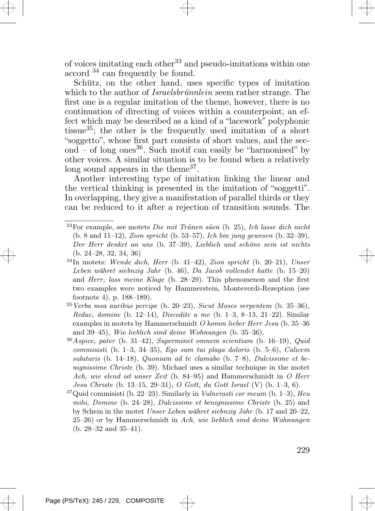of voices imitating each other<sup>33</sup> and pseudo-imitations within one accord <sup>34</sup> can frequently be found.

Schütz, on the other hand, uses specific types of imitation which to the author of *Israelsbrünnlein* seem rather strange. The first one is a regular imitation of the theme, however, there is no continuation of directing of voices within a counterpoint, an effect which may be described as a kind of a "lacework" polyphonic tissue35; the other is the frequently used imitation of a short "soggetto", whose first part consists of short values, and the sec- $\log$  – of long ones<sup>36</sup>. Such motif can easily be "harmonised" by other voices. A similar situation is to be found when a relatively long sound appears in the theme<sup>37</sup>.

Another interesting type of imitation linking the linear and the vertical thinking is presented in the imitation of "soggetti". In overlapping, they give a manifestation of parallel thirds or they can be reduced to it after a rejection of transition sounds. The

- $35$  Verba mea auribus percipe (b. 20–23), Sicut Moses serpentem (b. 35–36), Reduc, domine (b. 12–14), Discedite a me (b. 1–3, 8–13, 21–22). Similar examples in motets by Hammerschmidt O komm lieber Herr Jesu (b. 35–36 and 39–45), Wie lieblich sind deine Wohnungen (b. 35–36).
- $36$ Aspice, pater (b. 31–42), Superminet omnem scientiam (b. 16–19), Quid commisisti (b. 1–3, 34–35), Ego sum tui plaga doloris (b. 5–6), Calicem salutaris (b. 14–18), Quoniam ad te clamabo (b. 7–8), Dulcissime et benignissime Christe (b. 39). Michael uses a similar technique in the motet Ach, wie elend ist unser Zeit (b. 84–95) and Hammerschmidt in O Herr Jesu Christe (b. 13–15, 29–31), O Gott, du Gott Israel (V) (b. 1–3, 6).
- $37$ Quid commisisti (b. 22–23). Similarly in *Vulnerasti cor meum* (b. 1–3), *Heu* mihi, Domine (b. 24–28), Dulcissime et benignissime Christe (b. 25) and by Schein in the motet Unser Leben währet siebnzig Jahr (b. 17 and 20–22,  $25-26$ ) or by Hammerschmidt in Ach, wie lieblich sind deine Wohnungen (b. 28–32 and 35–41).

 $33$ For example, see motets Die mit Tränen säen (b. 25), Ich lasse dich nicht (b. 8 and 11–12), *Zion spricht* (b. 53–57), *Ich bin jung gewesen* (b. 32–39), Der Herr denket an uns (b. 37–39), Lieblich und schöne sein ist nichts (b. 24–28, 32, 34, 36)

 $34$ In motets: Wende dich, Herr (b. 41–42), Zion spricht (b. 20–21), Unser Leben währet siebnzig Jahr (b. 46), Da Jacob vollendet hatte (b. 15–20) and Herr, lass meine Klage (b. 28–29). This phenomenon and the first two examples were noticed by Hammerstein, Monteverdi-Rezeption (see footnote 4), p. 188–189).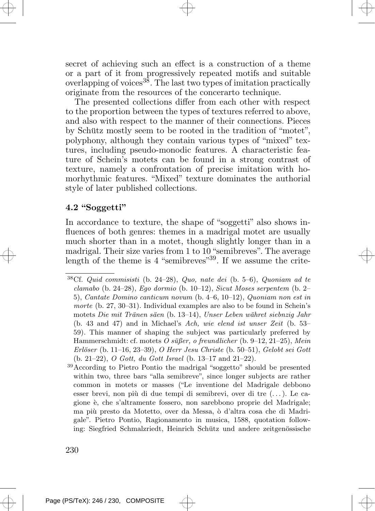secret of achieving such an effect is a construction of a theme or a part of it from progressively repeated motifs and suitable overlapping of voices<sup>38</sup>. The last two types of imitation practically originate from the resources of the concerarto technique.

The presented collections differ from each other with respect to the proportion between the types of textures referred to above, and also with respect to the manner of their connections. Pieces by Schütz mostly seem to be rooted in the tradition of "motet", polyphony, although they contain various types of "mixed" textures, including pseudo-monodic features. A characteristic feature of Schein's motets can be found in a strong contrast of texture, namely a confrontation of precise imitation with homorhythmic features. "Mixed" texture dominates the authorial style of later published collections.

#### 4.2 "Soggetti"

In accordance to texture, the shape of "soggetti" also shows influences of both genres: themes in a madrigal motet are usually much shorter than in a motet, though slightly longer than in a madrigal. Their size varies from 1 to 10"semibreves". The average length of the theme is 4 "semibreves"<sup>39</sup>. If we assume the crite-



 $38Cf.$  Quid commisisti (b. 24–28), Quo, nate dei (b. 5–6), Quoniam ad te clamabo (b. 24–28), Ego dormio (b. 10–12), Sicut Moses serpentem (b. 2– 5), Cantate Domino canticum novum (b. 4–6, 10–12), Quoniam non est in morte (b. 27, 30–31). Individual examples are also to be found in Schein's motets Die mit Tränen säen (b. 13–14), Unser Leben währet siebnzig Jahr (b. 43 and 47) and in Michael's Ach, wie elend ist unser Zeit (b. 53– 59). This manner of shaping the subject was particularly preferred by Hammerschmidt: cf. motets O süßer, o freundlicher (b. 9–12, 21–25), Mein  $Erlöser$  (b. 11–16, 23–39), O Herr Jesu Christe (b. 50–51), Gelobt sei Gott (b. 21–22), O Gott, du Gott Israel (b. 13–17 and 21–22).

<sup>39</sup>According to Pietro Pontio the madrigal "soggetto" should be presented within two, three bars "alla semibreve", since longer subjects are rather common in motets or masses ("Le inventione del Madrigale debbono esser brevi, non più di due tempi di semibrevi, over di tre  $(\dots)$ . Le cagione è, che s'altramente fossero, non sarebbono proprie del Madrigale; ma più presto da Motetto, over da Messa, ò d'altra cosa che di Madrigale". Pietro Pontio, Ragionamento in musica, 1588, quotation following: Siegfried Schmalzriedt, Heinrich Schütz und andere zeitgenössische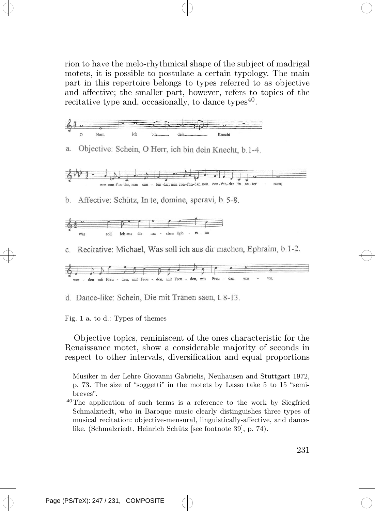rion to have the melo-rhythmical shape of the subject of madrigal motets, it is possible to postulate a certain typology. The main part in this repertoire belongs to types referred to as objective and affective; the smaller part, however, refers to topics of the recitative type and, occasionally, to dance types<sup>40</sup>.





c. Recitative: Michael, Was soll ich aus dir machen, Ephraim, b.1-2.



d. Dance-like: Schein, Die mit Tränen säen, t. 8-13.

Fig. 1 a. to d.: Types of themes

Objective topics, reminiscent of the ones characteristic for the Renaissance motet, show a considerable majority of seconds in respect to other intervals, diversification and equal proportions



Musiker in der Lehre Giovanni Gabrielis, Neuhausen and Stuttgart 1972, p. 73. The size of "soggetti" in the motets by Lasso take 5 to 15 "semibreves".

<sup>40</sup>The application of such terms is a reference to the work by Siegfried Schmalzriedt, who in Baroque music clearly distinguishes three types of musical recitation: objective-mensural, linguistically-affective, and dancelike. (Schmalzriedt, Heinrich Schütz [see footnote 39], p. 74).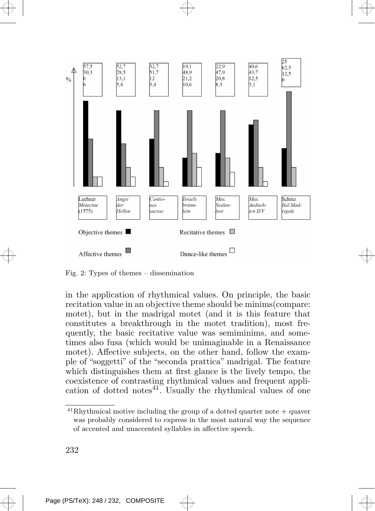

Fig. 2: Types of themes – dissemination

in the application of rhythmical values. On principle, the basic recitation value in an objective theme should be minims(compare: motet), but in the madrigal motet (and it is this feature that constitutes a breakthrough in the motet tradition), most frequently, the basic recitative value was semiminims, and sometimes also fusa (which would be unimaginable in a Renaissance motet). Affective subjects, on the other hand, follow the example of "soggetti" of the "seconda prattica" madrigal. The feature which distinguishes them at first glance is the lively tempo, the coexistence of contrasting rhythmical values and frequent application of dotted notes $41$ . Usually the rhythmical values of one

<sup>&</sup>lt;sup>41</sup>Rhythmical motive including the group of a dotted quarter note  $+$  quaver was probably considered to express in the most natural way the sequence of accented and unaccented syllables in affective speech.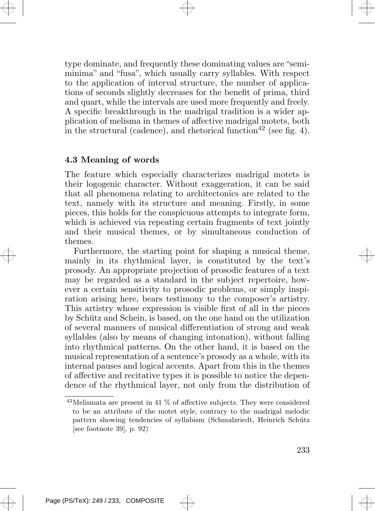type dominate, and frequently these dominating values are "semiminima" and "fusa", which usually carry syllables. With respect to the application of interval structure, the number of applications of seconds slightly decreases for the benefit of prima, third and quart, while the intervals are used more frequently and freely. A specific breakthrough in the madrigal tradition is a wider application of melisma in themes of affective madrigal motets, both in the structural (cadence), and rhetorical function<sup>42</sup> (see fig. 4).

## 4.3 Meaning of words

The feature which especially characterizes madrigal motets is their logogenic character. Without exaggeration, it can be said that all phenomena relating to architectonics are related to the text, namely with its structure and meaning. Firstly, in some pieces, this holds for the conspicuous attempts to integrate form, which is achieved via repeating certain fragments of text jointly and their musical themes, or by simultaneous conduction of themes.

Furthermore, the starting point for shaping a musical theme, mainly in its rhythmical layer, is constituted by the text's prosody. An appropriate projection of prosodic features of a text may be regarded as a standard in the subject repertoire, however a certain sensitivity to prosodic problems, or simply inspiration arising here, bears testimony to the composer's artistry. This artistry whose expression is visible first of all in the pieces by Schütz and Schein, is based, on the one hand on the utilization of several manners of musical differentiation of strong and weak syllables (also by means of changing intonation), without falling into rhythmical patterns. On the other hand, it is based on the musical representation of a sentence's prosody as a whole, with its internal pauses and logical accents. Apart from this in the themes of affective and recitative types it is possible to notice the dependence of the rhythmical layer, not only from the distribution of

<sup>42</sup>Melismata are present in 41 % of affective subjects. They were considered to be an attribute of the motet style, contrary to the madrigal melodic pattern showing tendencies of syllabism (Schmalzriedt, Heinrich Schütz [see footnote 39], p. 92)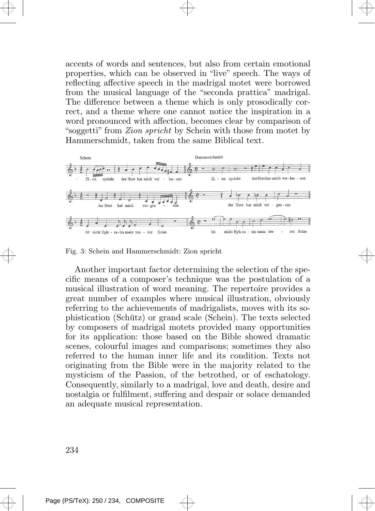accents of words and sentences, but also from certain emotional properties, which can be observed in "live" speech. The ways of reflecting affective speech in the madrigal motet were borrowed from the musical language of the "seconda prattica" madrigal. The difference between a theme which is only prosodically correct, and a theme where one cannot notice the inspiration in a word pronounced with affection, becomes clear by comparison of "soggetti" from Zion spricht by Schein with those from motet by Hammerschmidt, taken from the same Biblical text.



Fig. 3: Schein and Hammerschmidt: Zion spricht

Another important factor determining the selection of the specific means of a composer's technique was the postulation of a musical illustration of word meaning. The repertoire provides a great number of examples where musical illustration, obviously referring to the achievements of madrigalists, moves with its sophistication (Schütz) or grand scale (Schein). The texts selected by composers of madrigal motets provided many opportunities for its application: those based on the Bible showed dramatic scenes, colourful images and comparisons; sometimes they also referred to the human inner life and its condition. Texts not originating from the Bible were in the majority related to the mysticism of the Passion, of the betrothed, or of eschatology. Consequently, similarly to a madrigal, love and death, desire and nostalgia or fulfilment, suffering and despair or solace demanded an adequate musical representation.